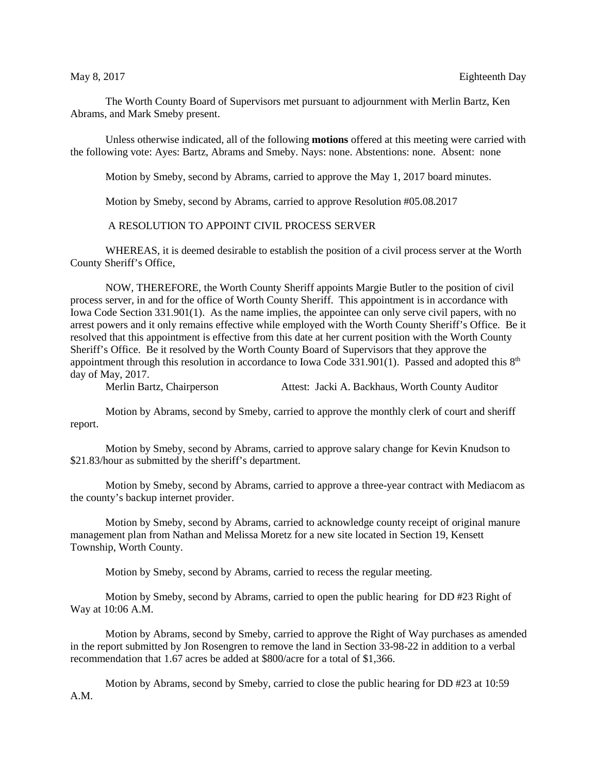The Worth County Board of Supervisors met pursuant to adjournment with Merlin Bartz, Ken Abrams, and Mark Smeby present.

Unless otherwise indicated, all of the following **motions** offered at this meeting were carried with the following vote: Ayes: Bartz, Abrams and Smeby. Nays: none. Abstentions: none. Absent: none

Motion by Smeby, second by Abrams, carried to approve the May 1, 2017 board minutes.

Motion by Smeby, second by Abrams, carried to approve Resolution #05.08.2017

## A RESOLUTION TO APPOINT CIVIL PROCESS SERVER

WHEREAS, it is deemed desirable to establish the position of a civil process server at the Worth County Sheriff's Office,

NOW, THEREFORE, the Worth County Sheriff appoints Margie Butler to the position of civil process server, in and for the office of Worth County Sheriff. This appointment is in accordance with Iowa Code Section 331.901(1). As the name implies, the appointee can only serve civil papers, with no arrest powers and it only remains effective while employed with the Worth County Sheriff's Office. Be it resolved that this appointment is effective from this date at her current position with the Worth County Sheriff's Office. Be it resolved by the Worth County Board of Supervisors that they approve the appointment through this resolution in accordance to Iowa Code 331.901(1). Passed and adopted this 8<sup>th</sup> day of May, 2017.

Merlin Bartz, Chairperson Attest: Jacki A. Backhaus, Worth County Auditor

Motion by Abrams, second by Smeby, carried to approve the monthly clerk of court and sheriff report.

Motion by Smeby, second by Abrams, carried to approve salary change for Kevin Knudson to \$21.83/hour as submitted by the sheriff's department.

Motion by Smeby, second by Abrams, carried to approve a three-year contract with Mediacom as the county's backup internet provider.

Motion by Smeby, second by Abrams, carried to acknowledge county receipt of original manure management plan from Nathan and Melissa Moretz for a new site located in Section 19, Kensett Township, Worth County.

Motion by Smeby, second by Abrams, carried to recess the regular meeting.

Motion by Smeby, second by Abrams, carried to open the public hearing for DD #23 Right of Way at 10:06 A.M.

Motion by Abrams, second by Smeby, carried to approve the Right of Way purchases as amended in the report submitted by Jon Rosengren to remove the land in Section 33-98-22 in addition to a verbal recommendation that 1.67 acres be added at \$800/acre for a total of \$1,366.

Motion by Abrams, second by Smeby, carried to close the public hearing for DD #23 at 10:59 A.M.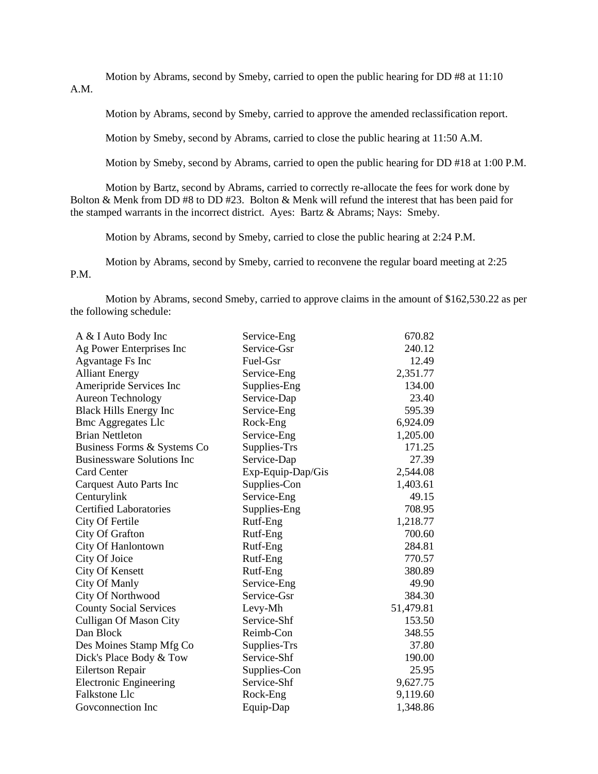Motion by Abrams, second by Smeby, carried to open the public hearing for DD #8 at 11:10

A.M.

Motion by Abrams, second by Smeby, carried to approve the amended reclassification report.

Motion by Smeby, second by Abrams, carried to close the public hearing at 11:50 A.M.

Motion by Smeby, second by Abrams, carried to open the public hearing for DD #18 at 1:00 P.M.

Motion by Bartz, second by Abrams, carried to correctly re-allocate the fees for work done by Bolton & Menk from DD #8 to DD #23. Bolton & Menk will refund the interest that has been paid for the stamped warrants in the incorrect district. Ayes: Bartz & Abrams; Nays: Smeby.

Motion by Abrams, second by Smeby, carried to close the public hearing at 2:24 P.M.

Motion by Abrams, second by Smeby, carried to reconvene the regular board meeting at 2:25 P.M.

Motion by Abrams, second Smeby, carried to approve claims in the amount of \$162,530.22 as per the following schedule:

| A & I Auto Body Inc               | Service-Eng       | 670.82    |
|-----------------------------------|-------------------|-----------|
| Ag Power Enterprises Inc          | Service-Gsr       | 240.12    |
| Agvantage Fs Inc                  | Fuel-Gsr          | 12.49     |
| <b>Alliant Energy</b>             | Service-Eng       | 2,351.77  |
| Ameripride Services Inc           | Supplies-Eng      | 134.00    |
| <b>Aureon Technology</b>          | Service-Dap       | 23.40     |
| <b>Black Hills Energy Inc</b>     | Service-Eng       | 595.39    |
| <b>Bmc Aggregates Llc</b>         | Rock-Eng          | 6,924.09  |
| <b>Brian Nettleton</b>            | Service-Eng       | 1,205.00  |
| Business Forms & Systems Co       | Supplies-Trs      | 171.25    |
| <b>Businessware Solutions Inc</b> | Service-Dap       | 27.39     |
| <b>Card Center</b>                | Exp-Equip-Dap/Gis | 2,544.08  |
| <b>Carquest Auto Parts Inc</b>    | Supplies-Con      | 1,403.61  |
| Centurylink                       | Service-Eng       | 49.15     |
| <b>Certified Laboratories</b>     | Supplies-Eng      | 708.95    |
| City Of Fertile                   | Rutf-Eng          | 1,218.77  |
| City Of Grafton                   | Rutf-Eng          | 700.60    |
| City Of Hanlontown                | Rutf-Eng          | 284.81    |
| City Of Joice                     | Rutf-Eng          | 770.57    |
| <b>City Of Kensett</b>            | Rutf-Eng          | 380.89    |
| City Of Manly                     | Service-Eng       | 49.90     |
| City Of Northwood                 | Service-Gsr       | 384.30    |
| <b>County Social Services</b>     | Levy-Mh           | 51,479.81 |
| <b>Culligan Of Mason City</b>     | Service-Shf       | 153.50    |
| Dan Block                         | Reimb-Con         | 348.55    |
| Des Moines Stamp Mfg Co           | Supplies-Trs      | 37.80     |
| Dick's Place Body & Tow           | Service-Shf       | 190.00    |
| Eilertson Repair                  | Supplies-Con      | 25.95     |
| <b>Electronic Engineering</b>     | Service-Shf       | 9,627.75  |
| Falkstone Llc                     | Rock-Eng          | 9,119.60  |
| Goveonnection Inc                 | Equip-Dap         | 1,348.86  |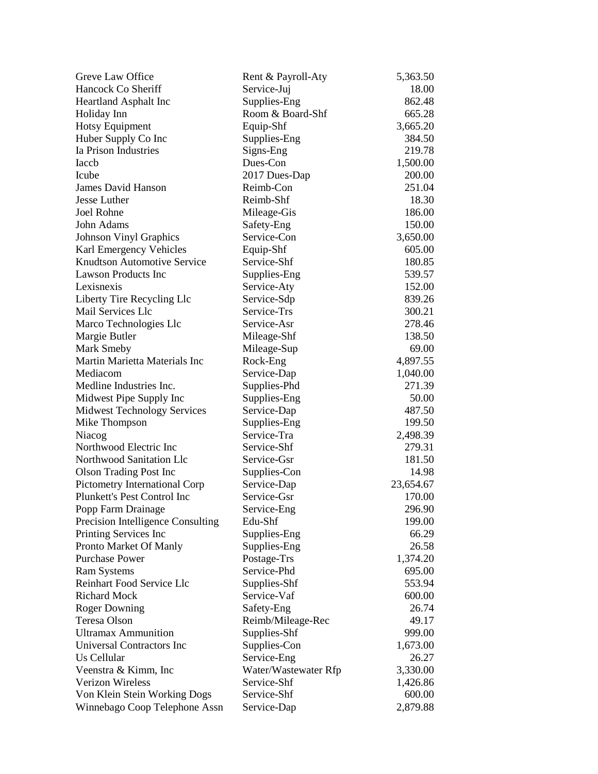| Greve Law Office                     | Rent & Payroll-Aty   | 5,363.50  |
|--------------------------------------|----------------------|-----------|
| Hancock Co Sheriff                   | Service-Juj          | 18.00     |
| <b>Heartland Asphalt Inc</b>         | Supplies-Eng         | 862.48    |
| Holiday Inn                          | Room & Board-Shf     | 665.28    |
| <b>Hotsy Equipment</b>               | Equip-Shf            | 3,665.20  |
| Huber Supply Co Inc                  | Supplies-Eng         | 384.50    |
| Ia Prison Industries                 | Signs-Eng            | 219.78    |
| Iaccb                                | Dues-Con             | 1,500.00  |
| Icube                                | 2017 Dues-Dap        | 200.00    |
| <b>James David Hanson</b>            | Reimb-Con            | 251.04    |
| Jesse Luther                         | Reimb-Shf            | 18.30     |
| Joel Rohne                           | Mileage-Gis          | 186.00    |
| John Adams                           | Safety-Eng           | 150.00    |
| <b>Johnson Vinyl Graphics</b>        | Service-Con          | 3,650.00  |
| Karl Emergency Vehicles              | Equip-Shf            | 605.00    |
| <b>Knudtson Automotive Service</b>   | Service-Shf          | 180.85    |
| <b>Lawson Products Inc</b>           | Supplies-Eng         | 539.57    |
| Lexisnexis                           | Service-Aty          | 152.00    |
| Liberty Tire Recycling Llc           | Service-Sdp          | 839.26    |
| Mail Services Llc                    | Service-Trs          | 300.21    |
| Marco Technologies Llc               | Service-Asr          | 278.46    |
| Margie Butler                        | Mileage-Shf          | 138.50    |
| Mark Smeby                           | Mileage-Sup          | 69.00     |
| Martin Marietta Materials Inc        | Rock-Eng             | 4,897.55  |
| Mediacom                             | Service-Dap          | 1,040.00  |
| Medline Industries Inc.              | Supplies-Phd         | 271.39    |
| Midwest Pipe Supply Inc              | Supplies-Eng         | 50.00     |
| <b>Midwest Technology Services</b>   | Service-Dap          | 487.50    |
| Mike Thompson                        | Supplies-Eng         | 199.50    |
| Niacog                               | Service-Tra          | 2,498.39  |
| Northwood Electric Inc               | Service-Shf          | 279.31    |
| Northwood Sanitation Llc             | Service-Gsr          | 181.50    |
| <b>Olson Trading Post Inc</b>        | Supplies-Con         | 14.98     |
| <b>Pictometry International Corp</b> | Service-Dap          | 23,654.67 |
| Plunkett's Pest Control Inc          | Service-Gsr          | 170.00    |
| Popp Farm Drainage                   | Service-Eng          | 296.90    |
| Precision Intelligence Consulting    | Edu-Shf              | 199.00    |
| Printing Services Inc                | Supplies-Eng         | 66.29     |
| Pronto Market Of Manly               | Supplies-Eng         | 26.58     |
| <b>Purchase Power</b>                | Postage-Trs          | 1,374.20  |
| <b>Ram Systems</b>                   | Service-Phd          | 695.00    |
| Reinhart Food Service Llc            | Supplies-Shf         | 553.94    |
| <b>Richard Mock</b>                  | Service-Vaf          | 600.00    |
| <b>Roger Downing</b>                 | Safety-Eng           | 26.74     |
| Teresa Olson                         | Reimb/Mileage-Rec    | 49.17     |
| <b>Ultramax Ammunition</b>           | Supplies-Shf         | 999.00    |
| Universal Contractors Inc            | Supplies-Con         | 1,673.00  |
| Us Cellular                          | Service-Eng          | 26.27     |
| Veenstra & Kimm, Inc.                | Water/Wastewater Rfp | 3,330.00  |
| <b>Verizon Wireless</b>              | Service-Shf          | 1,426.86  |
| Von Klein Stein Working Dogs         | Service-Shf          | 600.00    |
| Winnebago Coop Telephone Assn        | Service-Dap          | 2,879.88  |
|                                      |                      |           |